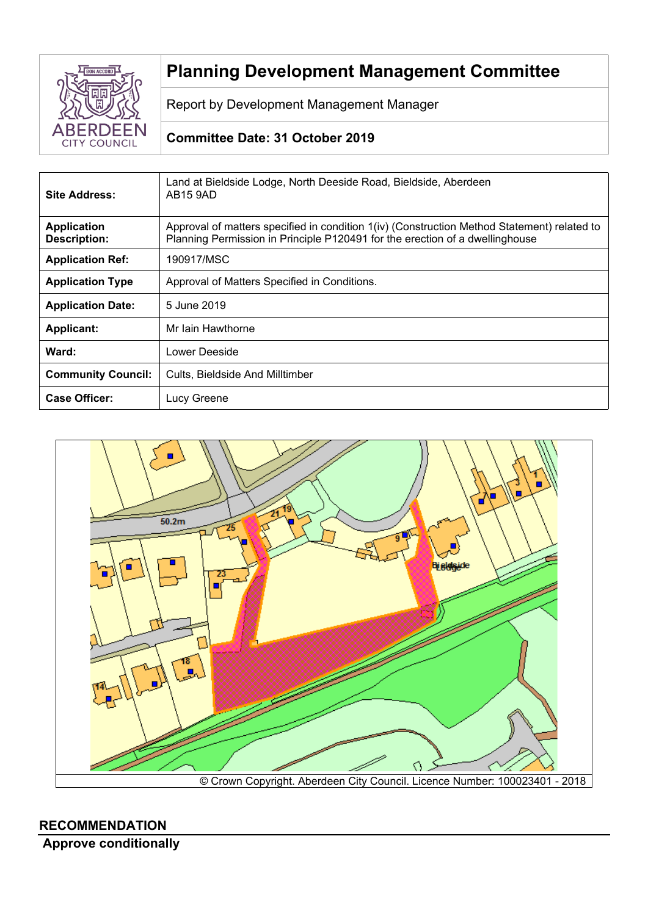

# **Planning Development Management Committee**

Report by Development Management Manager

# **Committee Date: 31 October 2019**

| Site Address:                             | Land at Bieldside Lodge, North Deeside Road, Bieldside, Aberdeen<br>AB <sub>15</sub> 9AD                                                                                    |  |
|-------------------------------------------|-----------------------------------------------------------------------------------------------------------------------------------------------------------------------------|--|
| <b>Application</b><br><b>Description:</b> | Approval of matters specified in condition 1(iv) (Construction Method Statement) related to<br>Planning Permission in Principle P120491 for the erection of a dwellinghouse |  |
| <b>Application Ref:</b>                   | 190917/MSC                                                                                                                                                                  |  |
| <b>Application Type</b>                   | Approval of Matters Specified in Conditions.                                                                                                                                |  |
| <b>Application Date:</b>                  | 5 June 2019                                                                                                                                                                 |  |
| <b>Applicant:</b>                         | Mr Iain Hawthorne                                                                                                                                                           |  |
| Ward:                                     | Lower Deeside                                                                                                                                                               |  |
| <b>Community Council:</b>                 | Cults. Bieldside And Milltimber                                                                                                                                             |  |
| <b>Case Officer:</b>                      | Lucy Greene                                                                                                                                                                 |  |



# **RECOMMENDATION**

**Approve conditionally**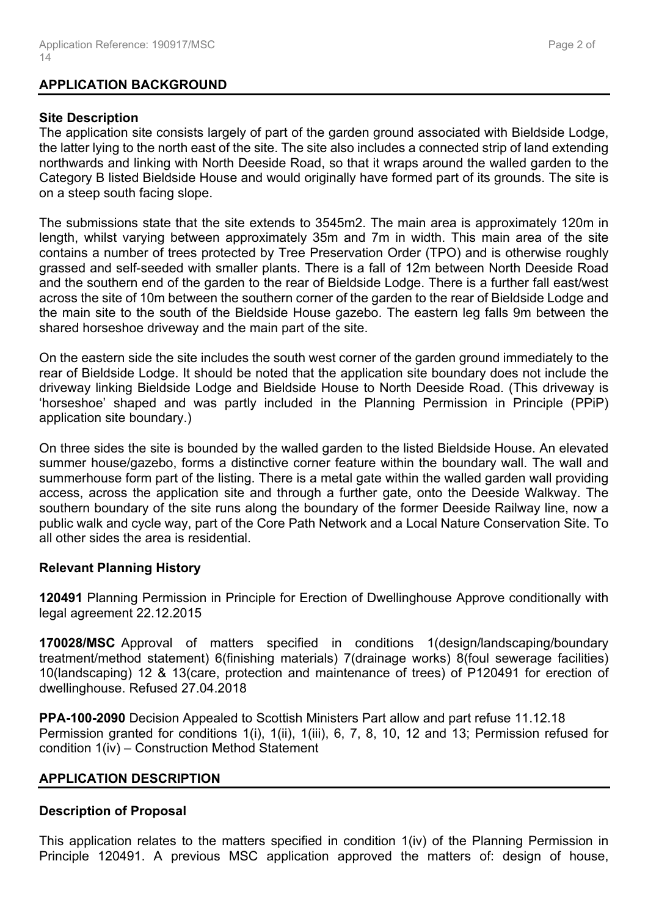## **APPLICATION BACKGROUND**

## **Site Description**

The application site consists largely of part of the garden ground associated with Bieldside Lodge, the latter lying to the north east of the site. The site also includes a connected strip of land extending northwards and linking with North Deeside Road, so that it wraps around the walled garden to the Category B listed Bieldside House and would originally have formed part of its grounds. The site is on a steep south facing slope.

The submissions state that the site extends to 3545m2. The main area is approximately 120m in length, whilst varying between approximately 35m and 7m in width. This main area of the site contains a number of trees protected by Tree Preservation Order (TPO) and is otherwise roughly grassed and self-seeded with smaller plants. There is a fall of 12m between North Deeside Road and the southern end of the garden to the rear of Bieldside Lodge. There is a further fall east/west across the site of 10m between the southern corner of the garden to the rear of Bieldside Lodge and the main site to the south of the Bieldside House gazebo. The eastern leg falls 9m between the shared horseshoe driveway and the main part of the site.

On the eastern side the site includes the south west corner of the garden ground immediately to the rear of Bieldside Lodge. It should be noted that the application site boundary does not include the driveway linking Bieldside Lodge and Bieldside House to North Deeside Road. (This driveway is 'horseshoe' shaped and was partly included in the Planning Permission in Principle (PPiP) application site boundary.)

On three sides the site is bounded by the walled garden to the listed Bieldside House. An elevated summer house/gazebo, forms a distinctive corner feature within the boundary wall. The wall and summerhouse form part of the listing. There is a metal gate within the walled garden wall providing access, across the application site and through a further gate, onto the Deeside Walkway. The southern boundary of the site runs along the boundary of the former Deeside Railway line, now a public walk and cycle way, part of the Core Path Network and a Local Nature Conservation Site. To all other sides the area is residential.

# **Relevant Planning History**

**120491** Planning Permission in Principle for Erection of Dwellinghouse Approve conditionally with legal agreement 22.12.2015

**170028/MSC** Approval of matters specified in conditions 1(design/landscaping/boundary treatment/method statement) 6(finishing materials) 7(drainage works) 8(foul sewerage facilities) 10(landscaping) 12 & 13(care, protection and maintenance of trees) of P120491 for erection of dwellinghouse. Refused 27.04.2018

**PPA-100-2090** Decision Appealed to Scottish Ministers Part allow and part refuse 11.12.18 Permission granted for conditions 1(i), 1(ii), 1(iii), 6, 7, 8, 10, 12 and 13; Permission refused for condition 1(iv) – Construction Method Statement

# **APPLICATION DESCRIPTION**

## **Description of Proposal**

This application relates to the matters specified in condition 1(iv) of the Planning Permission in Principle 120491. A previous MSC application approved the matters of: design of house,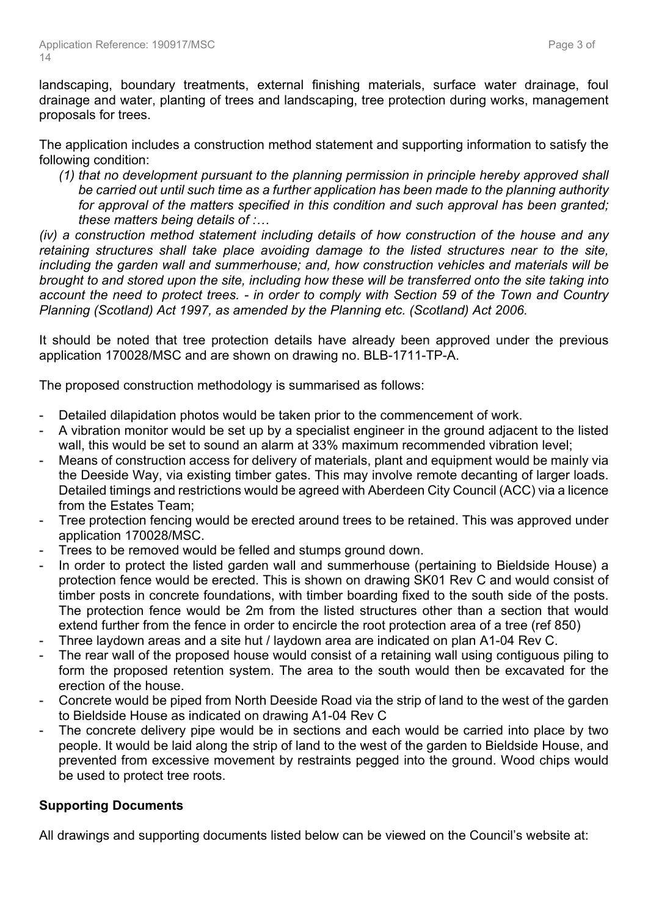landscaping, boundary treatments, external finishing materials, surface water drainage, foul drainage and water, planting of trees and landscaping, tree protection during works, management proposals for trees.

The application includes a construction method statement and supporting information to satisfy the following condition:

*(1) that no development pursuant to the planning permission in principle hereby approved shall be carried out until such time as a further application has been made to the planning authority for approval of the matters specified in this condition and such approval has been granted; these matters being details of :…*

*(iv) a construction method statement including details of how construction of the house and any retaining structures shall take place avoiding damage to the listed structures near to the site, including the garden wall and summerhouse; and, how construction vehicles and materials will be* brought to and stored upon the site, including how these will be transferred onto the site taking into account the need to protect trees. - in order to comply with Section 59 of the Town and Country *Planning (Scotland) Act 1997, as amended by the Planning etc. (Scotland) Act 2006.*

It should be noted that tree protection details have already been approved under the previous application 170028/MSC and are shown on drawing no. BLB-1711-TP-A.

The proposed construction methodology is summarised as follows:

- Detailed dilapidation photos would be taken prior to the commencement of work.
- A vibration monitor would be set up by a specialist engineer in the ground adjacent to the listed wall, this would be set to sound an alarm at 33% maximum recommended vibration level;
- Means of construction access for delivery of materials, plant and equipment would be mainly via the Deeside Way, via existing timber gates. This may involve remote decanting of larger loads. Detailed timings and restrictions would be agreed with Aberdeen City Council (ACC) via a licence from the Estates Team;
- Tree protection fencing would be erected around trees to be retained. This was approved under application 170028/MSC.
- Trees to be removed would be felled and stumps ground down.
- In order to protect the listed garden wall and summerhouse (pertaining to Bieldside House) a protection fence would be erected. This is shown on drawing SK01 Rev C and would consist of timber posts in concrete foundations, with timber boarding fixed to the south side of the posts. The protection fence would be 2m from the listed structures other than a section that would extend further from the fence in order to encircle the root protection area of a tree (ref 850)
- Three laydown areas and a site hut / laydown area are indicated on plan A1-04 Rev C.
- The rear wall of the proposed house would consist of a retaining wall using contiguous piling to form the proposed retention system. The area to the south would then be excavated for the erection of the house.
- Concrete would be piped from North Deeside Road via the strip of land to the west of the garden to Bieldside House as indicated on drawing A1-04 Rev C
- The concrete delivery pipe would be in sections and each would be carried into place by two people. It would be laid along the strip of land to the west of the garden to Bieldside House, and prevented from excessive movement by restraints pegged into the ground. Wood chips would be used to protect tree roots.

# **Supporting Documents**

All drawings and supporting documents listed below can be viewed on the Council's website at: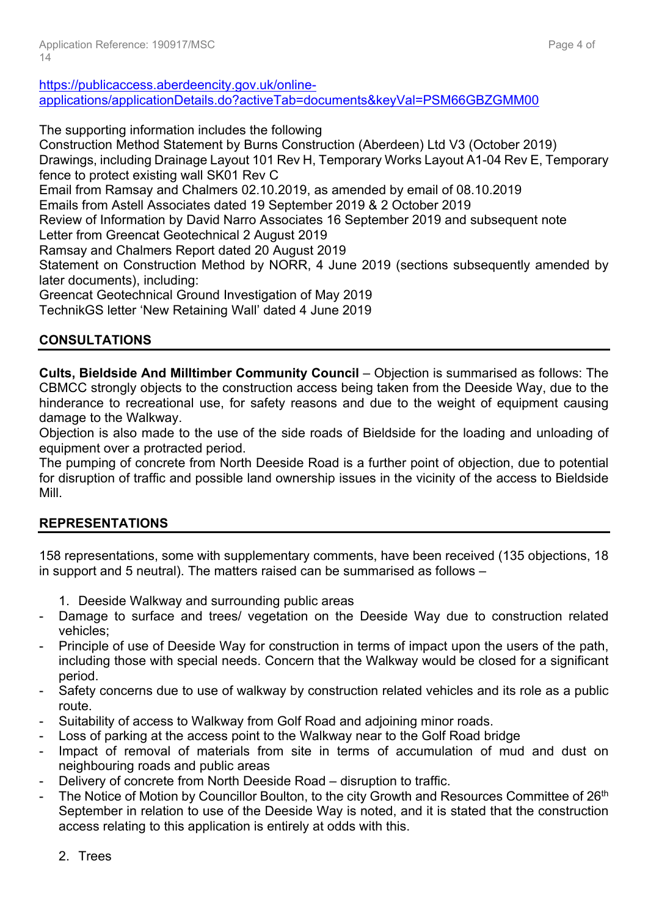[https://publicaccess.aberdeencity.gov.uk/online](https://publicaccess.aberdeencity.gov.uk/online-applications/applicationDetails.do?activeTab=documents&keyVal=PSM66GBZGMM00)[applications/applicationDetails.do?activeTab=documents&keyVal=PSM66GBZGMM00](https://publicaccess.aberdeencity.gov.uk/online-applications/applicationDetails.do?activeTab=documents&keyVal=PSM66GBZGMM00)

The supporting information includes the following

Construction Method Statement by Burns Construction (Aberdeen) Ltd V3 (October 2019) Drawings, including Drainage Layout 101 Rev H, Temporary Works Layout A1-04 Rev E, Temporary fence to protect existing wall SK01 Rev C Email from Ramsay and Chalmers 02.10.2019, as amended by email of 08.10.2019 Emails from Astell Associates dated 19 September 2019 & 2 October 2019 Review of Information by David Narro Associates 16 September 2019 and subsequent note Letter from Greencat Geotechnical 2 August 2019 Ramsay and Chalmers Report dated 20 August 2019 Statement on Construction Method by NORR, 4 June 2019 (sections subsequently amended by later documents), including: Greencat Geotechnical Ground Investigation of May 2019 TechnikGS letter 'New Retaining Wall' dated 4 June 2019

# **CONSULTATIONS**

**Cults, Bieldside And Milltimber Community Council** – Objection is summarised as follows: The CBMCC strongly objects to the construction access being taken from the Deeside Way, due to the hinderance to recreational use, for safety reasons and due to the weight of equipment causing damage to the Walkway.

Objection is also made to the use of the side roads of Bieldside for the loading and unloading of equipment over a protracted period.

The pumping of concrete from North Deeside Road is a further point of objection, due to potential for disruption of traffic and possible land ownership issues in the vicinity of the access to Bieldside Mill.

# **REPRESENTATIONS**

158 representations, some with supplementary comments, have been received (135 objections, 18 in support and 5 neutral). The matters raised can be summarised as follows –

- 1. Deeside Walkway and surrounding public areas
- Damage to surface and trees/ vegetation on the Deeside Way due to construction related vehicles;
- Principle of use of Deeside Way for construction in terms of impact upon the users of the path, including those with special needs. Concern that the Walkway would be closed for a significant period.
- Safety concerns due to use of walkway by construction related vehicles and its role as a public route.
- Suitability of access to Walkway from Golf Road and adjoining minor roads.
- Loss of parking at the access point to the Walkway near to the Golf Road bridge
- Impact of removal of materials from site in terms of accumulation of mud and dust on neighbouring roads and public areas
- Delivery of concrete from North Deeside Road disruption to traffic.
- The Notice of Motion by Councillor Boulton, to the city Growth and Resources Committee of 26<sup>th</sup> September in relation to use of the Deeside Way is noted, and it is stated that the construction access relating to this application is entirely at odds with this.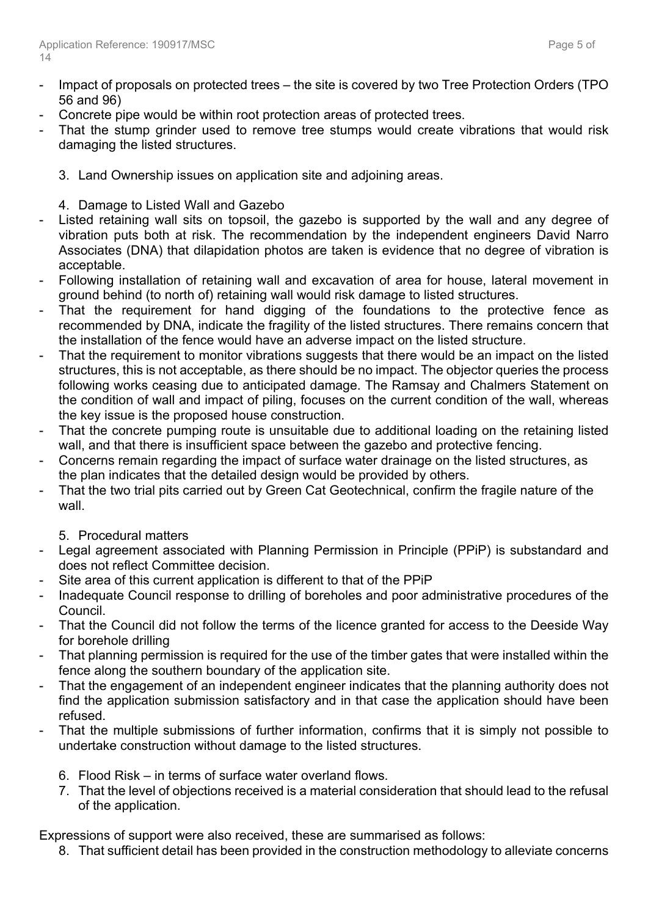- Impact of proposals on protected trees the site is covered by two Tree Protection Orders (TPO 56 and 96)
- Concrete pipe would be within root protection areas of protected trees.
- That the stump grinder used to remove tree stumps would create vibrations that would risk damaging the listed structures.
	- 3. Land Ownership issues on application site and adjoining areas.
	- 4. Damage to Listed Wall and Gazebo
- Listed retaining wall sits on topsoil, the gazebo is supported by the wall and any degree of vibration puts both at risk. The recommendation by the independent engineers David Narro Associates (DNA) that dilapidation photos are taken is evidence that no degree of vibration is acceptable.
- Following installation of retaining wall and excavation of area for house, lateral movement in ground behind (to north of) retaining wall would risk damage to listed structures.
- That the requirement for hand digging of the foundations to the protective fence as recommended by DNA, indicate the fragility of the listed structures. There remains concern that the installation of the fence would have an adverse impact on the listed structure.
- That the requirement to monitor vibrations suggests that there would be an impact on the listed structures, this is not acceptable, as there should be no impact. The objector queries the process following works ceasing due to anticipated damage. The Ramsay and Chalmers Statement on the condition of wall and impact of piling, focuses on the current condition of the wall, whereas the key issue is the proposed house construction.
- That the concrete pumping route is unsuitable due to additional loading on the retaining listed wall, and that there is insufficient space between the gazebo and protective fencing.
- Concerns remain regarding the impact of surface water drainage on the listed structures, as the plan indicates that the detailed design would be provided by others.
- That the two trial pits carried out by Green Cat Geotechnical, confirm the fragile nature of the wall.
	- 5. Procedural matters
- Legal agreement associated with Planning Permission in Principle (PPiP) is substandard and does not reflect Committee decision.
- Site area of this current application is different to that of the PPIP
- Inadequate Council response to drilling of boreholes and poor administrative procedures of the Council.
- That the Council did not follow the terms of the licence granted for access to the Deeside Way for borehole drilling
- That planning permission is required for the use of the timber gates that were installed within the fence along the southern boundary of the application site.
- That the engagement of an independent engineer indicates that the planning authority does not find the application submission satisfactory and in that case the application should have been refused.
- That the multiple submissions of further information, confirms that it is simply not possible to undertake construction without damage to the listed structures.
	- 6. Flood Risk in terms of surface water overland flows.
	- 7. That the level of objections received is a material consideration that should lead to the refusal of the application.

Expressions of support were also received, these are summarised as follows:

8. That sufficient detail has been provided in the construction methodology to alleviate concerns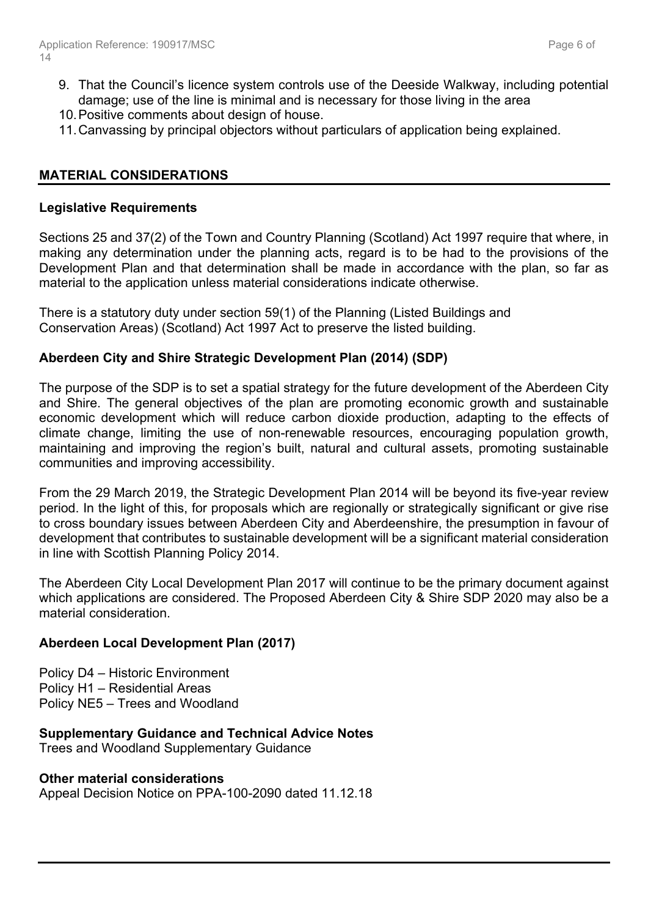- 9. That the Council's licence system controls use of the Deeside Walkway, including potential damage; use of the line is minimal and is necessary for those living in the area
- 10.Positive comments about design of house.
- 11.Canvassing by principal objectors without particulars of application being explained.

## **MATERIAL CONSIDERATIONS**

#### **Legislative Requirements**

Sections 25 and 37(2) of the Town and Country Planning (Scotland) Act 1997 require that where, in making any determination under the planning acts, regard is to be had to the provisions of the Development Plan and that determination shall be made in accordance with the plan, so far as material to the application unless material considerations indicate otherwise.

There is a statutory duty under section 59(1) of the Planning (Listed Buildings and Conservation Areas) (Scotland) Act 1997 Act to preserve the listed building.

## **Aberdeen City and Shire Strategic Development Plan (2014) (SDP)**

The purpose of the SDP is to set a spatial strategy for the future development of the Aberdeen City and Shire. The general objectives of the plan are promoting economic growth and sustainable economic development which will reduce carbon dioxide production, adapting to the effects of climate change, limiting the use of non-renewable resources, encouraging population growth, maintaining and improving the region's built, natural and cultural assets, promoting sustainable communities and improving accessibility.

From the 29 March 2019, the Strategic Development Plan 2014 will be beyond its five-year review period. In the light of this, for proposals which are regionally or strategically significant or give rise to cross boundary issues between Aberdeen City and Aberdeenshire, the presumption in favour of development that contributes to sustainable development will be a significant material consideration in line with Scottish Planning Policy 2014.

The Aberdeen City Local Development Plan 2017 will continue to be the primary document against which applications are considered. The Proposed Aberdeen City & Shire SDP 2020 may also be a material consideration.

## **Aberdeen Local Development Plan (2017)**

Policy D4 – Historic Environment Policy H1 – Residential Areas Policy NE5 – Trees and Woodland

**Supplementary Guidance and Technical Advice Notes** Trees and Woodland Supplementary Guidance

# **Other material considerations**

Appeal Decision Notice on PPA-100-2090 dated 11.12.18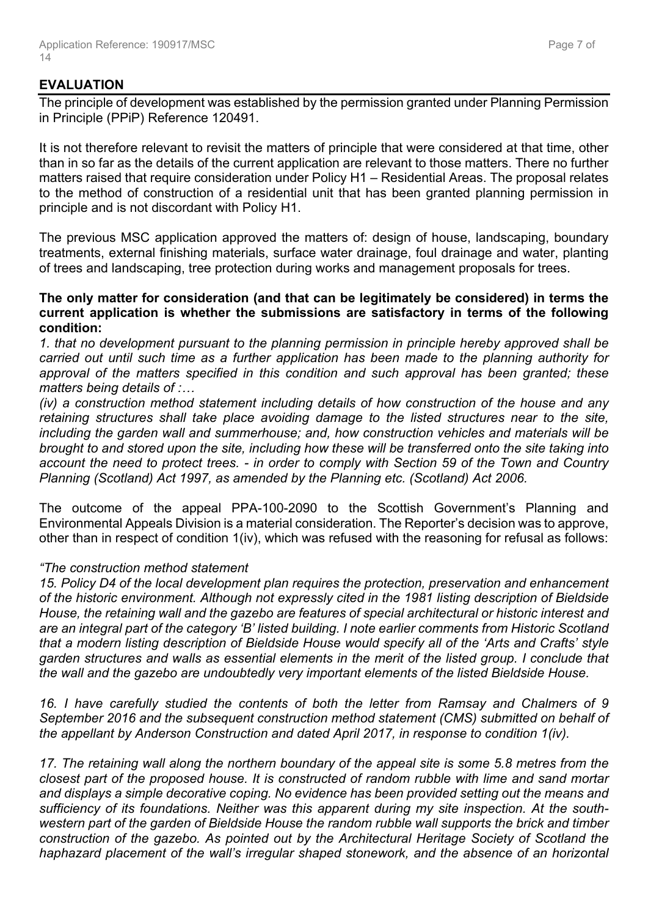## **EVALUATION**

The principle of development was established by the permission granted under Planning Permission in Principle (PPiP) Reference 120491.

It is not therefore relevant to revisit the matters of principle that were considered at that time, other than in so far as the details of the current application are relevant to those matters. There no further matters raised that require consideration under Policy H1 – Residential Areas. The proposal relates to the method of construction of a residential unit that has been granted planning permission in principle and is not discordant with Policy H1.

The previous MSC application approved the matters of: design of house, landscaping, boundary treatments, external finishing materials, surface water drainage, foul drainage and water, planting of trees and landscaping, tree protection during works and management proposals for trees.

#### **The only matter for consideration (and that can be legitimately be considered) in terms the current application is whether the submissions are satisfactory in terms of the following condition:**

*1. that no development pursuant to the planning permission in principle hereby approved shall be carried out until such time as a further application has been made to the planning authority for approval of the matters specified in this condition and such approval has been granted; these matters being details of :…*

*(iv) a construction method statement including details of how construction of the house and any retaining structures shall take place avoiding damage to the listed structures near to the site, including the garden wall and summerhouse; and, how construction vehicles and materials will be* brought to and stored upon the site, including how these will be transferred onto the site taking into account the need to protect trees. - in order to comply with Section 59 of the Town and Country *Planning (Scotland) Act 1997, as amended by the Planning etc. (Scotland) Act 2006.*

The outcome of the appeal PPA-100-2090 to the Scottish Government's Planning and Environmental Appeals Division is a material consideration. The Reporter's decision was to approve, other than in respect of condition 1(iv), which was refused with the reasoning for refusal as follows:

## *"The construction method statement*

*15. Policy D4 of the local development plan requires the protection, preservation and enhancement of the historic environment. Although not expressly cited in the 1981 listing description of Bieldside House, the retaining wall and the gazebo are features of special architectural or historic interest and are an integral part of the category 'B' listed building. I note earlier comments from Historic Scotland that a modern listing description of Bieldside House would specify all of the 'Arts and Crafts' style garden structures and walls as essential elements in the merit of the listed group. I conclude that the wall and the gazebo are undoubtedly very important elements of the listed Bieldside House.*

*16. I have carefully studied the contents of both the letter from Ramsay and Chalmers of 9 September 2016 and the subsequent construction method statement (CMS) submitted on behalf of the appellant by Anderson Construction and dated April 2017, in response to condition 1(iv).*

*17. The retaining wall along the northern boundary of the appeal site is some 5.8 metres from the closest part of the proposed house. It is constructed of random rubble with lime and sand mortar and displays a simple decorative coping. No evidence has been provided setting out the means and sufficiency of its foundations. Neither was this apparent during my site inspection. At the southwestern part of the garden of Bieldside House the random rubble wall supports the brick and timber construction of the gazebo. As pointed out by the Architectural Heritage Society of Scotland the haphazard placement of the wall's irregular shaped stonework, and the absence of an horizontal*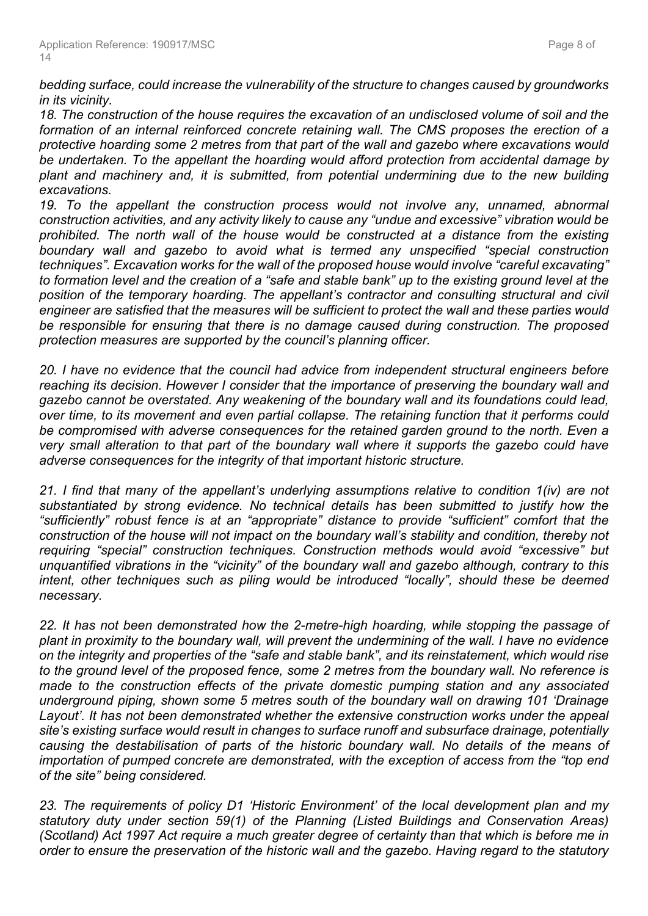*bedding surface, could increase the vulnerability of the structure to changes caused by groundworks in its vicinity.*

*18. The construction of the house requires the excavation of an undisclosed volume of soil and the formation of an internal reinforced concrete retaining wall. The CMS proposes the erection of a protective hoarding some 2 metres from that part of the wall and gazebo where excavations would be undertaken. To the appellant the hoarding would afford protection from accidental damage by plant and machinery and, it is submitted, from potential undermining due to the new building excavations.*

*19. To the appellant the construction process would not involve any, unnamed, abnormal construction activities, and any activity likely to cause any "undue and excessive" vibration would be prohibited. The north wall of the house would be constructed at a distance from the existing boundary wall and gazebo to avoid what is termed any unspecified "special construction techniques". Excavation works for the wall of the proposed house would involve "careful excavating"* to formation level and the creation of a "safe and stable bank" up to the existing ground level at the *position of the temporary hoarding. The appellant's contractor and consulting structural and civil engineer are satisfied that the measures will be sufficient to protect the wall and these parties would be responsible for ensuring that there is no damage caused during construction. The proposed protection measures are supported by the council's planning officer.*

*20. I have no evidence that the council had advice from independent structural engineers before reaching its decision. However I consider that the importance of preserving the boundary wall and gazebo cannot be overstated. Any weakening of the boundary wall and its foundations could lead, over time, to its movement and even partial collapse. The retaining function that it performs could be compromised with adverse consequences for the retained garden ground to the north. Even a very small alteration to that part of the boundary wall where it supports the gazebo could have adverse consequences for the integrity of that important historic structure.*

*21. I find that many of the appellant's underlying assumptions relative to condition 1(iv) are not substantiated by strong evidence. No technical details has been submitted to justify how the "sufficiently" robust fence is at an "appropriate" distance to provide "sufficient" comfort that the construction of the house will not impact on the boundary wall's stability and condition, thereby not requiring "special" construction techniques. Construction methods would avoid "excessive" but unquantified vibrations in the "vicinity" of the boundary wall and gazebo although, contrary to this intent, other techniques such as piling would be introduced "locally", should these be deemed necessary.*

*22. It has not been demonstrated how the 2-metre-high hoarding, while stopping the passage of* plant in proximity to the boundary wall, will prevent the undermining of the wall. I have no evidence *on the integrity and properties of the "safe and stable bank", and its reinstatement, which would rise to the ground level of the proposed fence, some 2 metres from the boundary wall. No reference is made to the construction effects of the private domestic pumping station and any associated underground piping, shown some 5 metres south of the boundary wall on drawing 101 'Drainage Layout'. It has not been demonstrated whether the extensive construction works under the appeal site's existing surface would result in changes to surface runoff and subsurface drainage, potentially causing the destabilisation of parts of the historic boundary wall. No details of the means of importation of pumped concrete are demonstrated, with the exception of access from the "top end of the site" being considered.*

*23. The requirements of policy D1 'Historic Environment' of the local development plan and my statutory duty under section 59(1) of the Planning (Listed Buildings and Conservation Areas) (Scotland) Act 1997 Act require a much greater degree of certainty than that which is before me in order to ensure the preservation of the historic wall and the gazebo. Having regard to the statutory*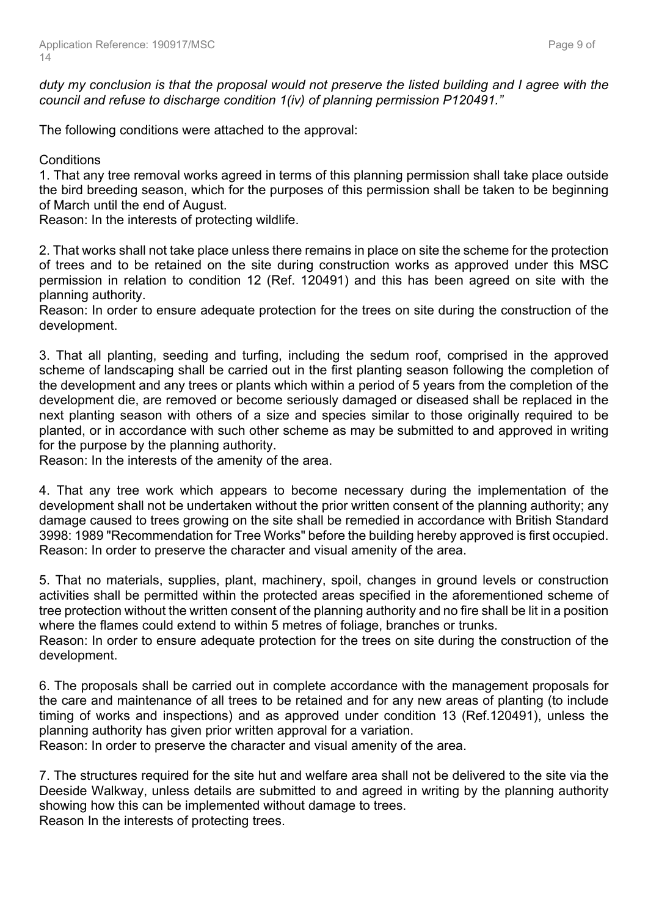duty my conclusion is that the proposal would not preserve the listed building and I agree with the *council and refuse to discharge condition 1(iv) of planning permission P120491."*

The following conditions were attached to the approval:

**Conditions** 

1. That any tree removal works agreed in terms of this planning permission shall take place outside the bird breeding season, which for the purposes of this permission shall be taken to be beginning of March until the end of August.

Reason: In the interests of protecting wildlife.

2. That works shall not take place unless there remains in place on site the scheme for the protection of trees and to be retained on the site during construction works as approved under this MSC permission in relation to condition 12 (Ref. 120491) and this has been agreed on site with the planning authority.

Reason: In order to ensure adequate protection for the trees on site during the construction of the development.

3. That all planting, seeding and turfing, including the sedum roof, comprised in the approved scheme of landscaping shall be carried out in the first planting season following the completion of the development and any trees or plants which within a period of 5 years from the completion of the development die, are removed or become seriously damaged or diseased shall be replaced in the next planting season with others of a size and species similar to those originally required to be planted, or in accordance with such other scheme as may be submitted to and approved in writing for the purpose by the planning authority.

Reason: In the interests of the amenity of the area.

4. That any tree work which appears to become necessary during the implementation of the development shall not be undertaken without the prior written consent of the planning authority; any damage caused to trees growing on the site shall be remedied in accordance with British Standard 3998: 1989 "Recommendation for Tree Works" before the building hereby approved is first occupied. Reason: In order to preserve the character and visual amenity of the area.

5. That no materials, supplies, plant, machinery, spoil, changes in ground levels or construction activities shall be permitted within the protected areas specified in the aforementioned scheme of tree protection without the written consent of the planning authority and no fire shall be lit in a position where the flames could extend to within 5 metres of foliage, branches or trunks.

Reason: In order to ensure adequate protection for the trees on site during the construction of the development.

6. The proposals shall be carried out in complete accordance with the management proposals for the care and maintenance of all trees to be retained and for any new areas of planting (to include timing of works and inspections) and as approved under condition 13 (Ref.120491), unless the planning authority has given prior written approval for a variation.

Reason: In order to preserve the character and visual amenity of the area.

7. The structures required for the site hut and welfare area shall not be delivered to the site via the Deeside Walkway, unless details are submitted to and agreed in writing by the planning authority showing how this can be implemented without damage to trees. Reason In the interests of protecting trees.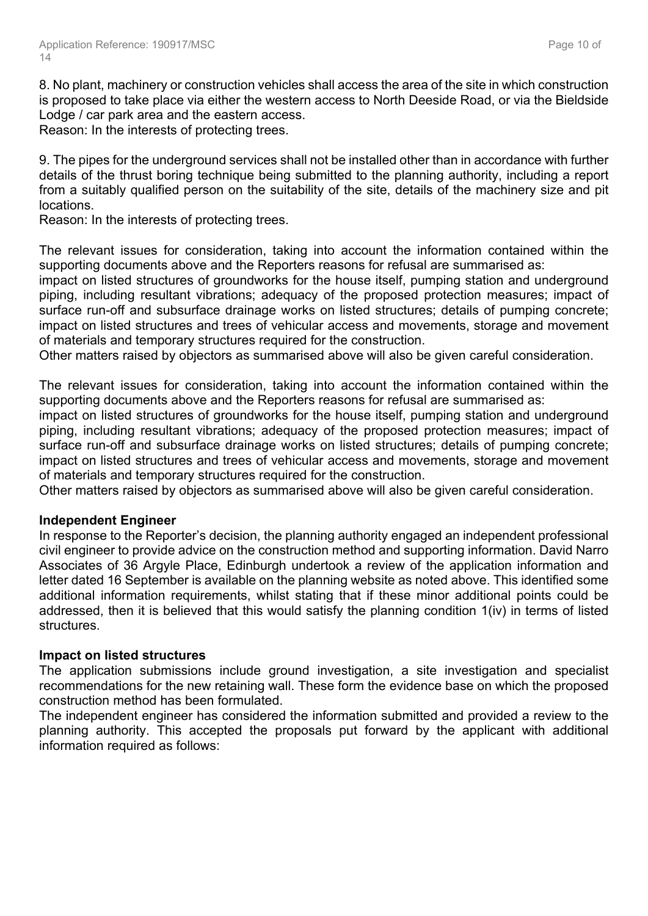8. No plant, machinery or construction vehicles shall access the area of the site in which construction is proposed to take place via either the western access to North Deeside Road, or via the Bieldside Lodge / car park area and the eastern access.

Reason: In the interests of protecting trees.

9. The pipes for the underground services shall not be installed other than in accordance with further details of the thrust boring technique being submitted to the planning authority, including a report from a suitably qualified person on the suitability of the site, details of the machinery size and pit locations.

Reason: In the interests of protecting trees.

The relevant issues for consideration, taking into account the information contained within the supporting documents above and the Reporters reasons for refusal are summarised as:

impact on listed structures of groundworks for the house itself, pumping station and underground piping, including resultant vibrations; adequacy of the proposed protection measures; impact of surface run-off and subsurface drainage works on listed structures; details of pumping concrete; impact on listed structures and trees of vehicular access and movements, storage and movement of materials and temporary structures required for the construction.

Other matters raised by objectors as summarised above will also be given careful consideration.

The relevant issues for consideration, taking into account the information contained within the supporting documents above and the Reporters reasons for refusal are summarised as:

impact on listed structures of groundworks for the house itself, pumping station and underground piping, including resultant vibrations; adequacy of the proposed protection measures; impact of surface run-off and subsurface drainage works on listed structures; details of pumping concrete; impact on listed structures and trees of vehicular access and movements, storage and movement of materials and temporary structures required for the construction.

Other matters raised by objectors as summarised above will also be given careful consideration.

## **Independent Engineer**

In response to the Reporter's decision, the planning authority engaged an independent professional civil engineer to provide advice on the construction method and supporting information. David Narro Associates of 36 Argyle Place, Edinburgh undertook a review of the application information and letter dated 16 September is available on the planning website as noted above. This identified some additional information requirements, whilst stating that if these minor additional points could be addressed, then it is believed that this would satisfy the planning condition 1(iv) in terms of listed structures.

## **Impact on listed structures**

The application submissions include ground investigation, a site investigation and specialist recommendations for the new retaining wall. These form the evidence base on which the proposed construction method has been formulated.

The independent engineer has considered the information submitted and provided a review to the planning authority. This accepted the proposals put forward by the applicant with additional information required as follows: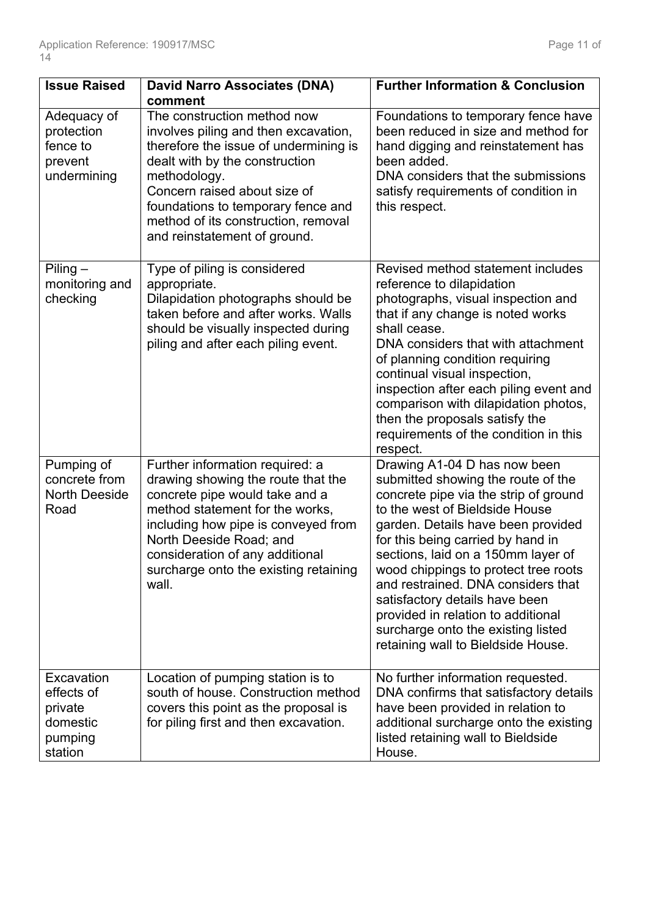| <b>Issue Raised</b>                                                   | <b>David Narro Associates (DNA)</b>                                                                                                                                                                                                                                                                                    | <b>Further Information &amp; Conclusion</b>                                                                                                                                                                                                                                                                                                                                                                                                                                                      |
|-----------------------------------------------------------------------|------------------------------------------------------------------------------------------------------------------------------------------------------------------------------------------------------------------------------------------------------------------------------------------------------------------------|--------------------------------------------------------------------------------------------------------------------------------------------------------------------------------------------------------------------------------------------------------------------------------------------------------------------------------------------------------------------------------------------------------------------------------------------------------------------------------------------------|
| Adequacy of<br>protection<br>fence to<br>prevent<br>undermining       | comment<br>The construction method now<br>involves piling and then excavation,<br>therefore the issue of undermining is<br>dealt with by the construction<br>methodology.<br>Concern raised about size of<br>foundations to temporary fence and<br>method of its construction, removal<br>and reinstatement of ground. | Foundations to temporary fence have<br>been reduced in size and method for<br>hand digging and reinstatement has<br>been added.<br>DNA considers that the submissions<br>satisfy requirements of condition in<br>this respect.                                                                                                                                                                                                                                                                   |
| $Piling -$<br>monitoring and<br>checking                              | Type of piling is considered<br>appropriate.<br>Dilapidation photographs should be<br>taken before and after works. Walls<br>should be visually inspected during<br>piling and after each piling event.                                                                                                                | Revised method statement includes<br>reference to dilapidation<br>photographs, visual inspection and<br>that if any change is noted works<br>shall cease.<br>DNA considers that with attachment<br>of planning condition requiring<br>continual visual inspection,<br>inspection after each piling event and<br>comparison with dilapidation photos,<br>then the proposals satisfy the<br>requirements of the condition in this<br>respect.                                                      |
| Pumping of<br>concrete from<br><b>North Deeside</b><br>Road           | Further information required: a<br>drawing showing the route that the<br>concrete pipe would take and a<br>method statement for the works,<br>including how pipe is conveyed from<br>North Deeside Road; and<br>consideration of any additional<br>surcharge onto the existing retaining<br>wall.                      | Drawing A1-04 D has now been<br>submitted showing the route of the<br>concrete pipe via the strip of ground<br>to the west of Bieldside House<br>garden. Details have been provided<br>for this being carried by hand in<br>sections, laid on a 150mm layer of<br>wood chippings to protect tree roots<br>and restrained. DNA considers that<br>satisfactory details have been<br>provided in relation to additional<br>surcharge onto the existing listed<br>retaining wall to Bieldside House. |
| Excavation<br>effects of<br>private<br>domestic<br>pumping<br>station | Location of pumping station is to<br>south of house. Construction method<br>covers this point as the proposal is<br>for piling first and then excavation.                                                                                                                                                              | No further information requested.<br>DNA confirms that satisfactory details<br>have been provided in relation to<br>additional surcharge onto the existing<br>listed retaining wall to Bieldside<br>House.                                                                                                                                                                                                                                                                                       |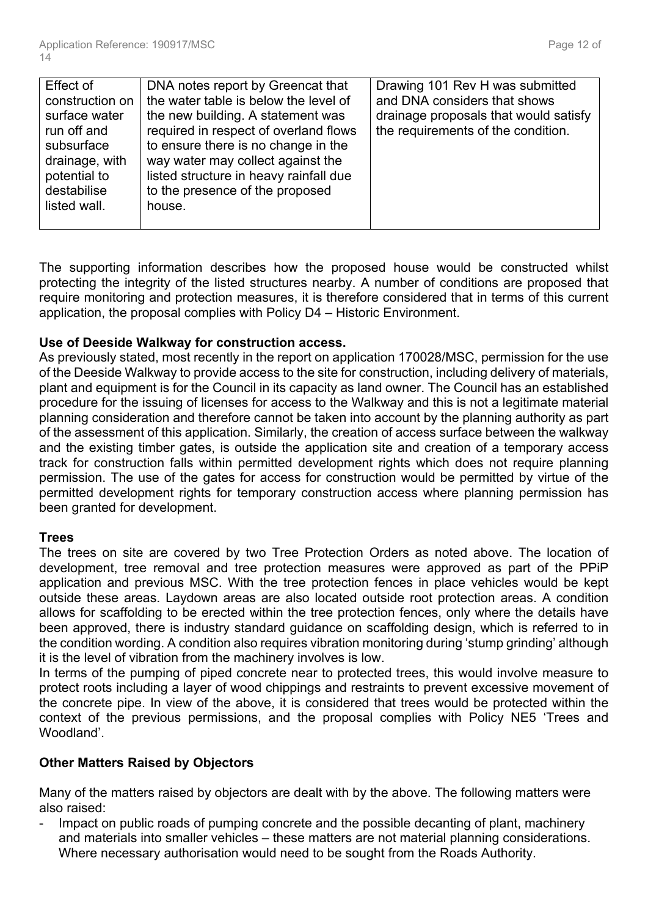| Effect of       | DNA notes report by Greencat that      | Drawing 101 Rev H was submitted       |
|-----------------|----------------------------------------|---------------------------------------|
| construction on | the water table is below the level of  | and DNA considers that shows          |
| surface water   | the new building. A statement was      | drainage proposals that would satisfy |
| run off and     | required in respect of overland flows  | the requirements of the condition.    |
| subsurface      | to ensure there is no change in the    |                                       |
| drainage, with  | way water may collect against the      |                                       |
| potential to    | listed structure in heavy rainfall due |                                       |
| destabilise     | to the presence of the proposed        |                                       |
| listed wall.    | house.                                 |                                       |
|                 |                                        |                                       |
|                 |                                        |                                       |

The supporting information describes how the proposed house would be constructed whilst protecting the integrity of the listed structures nearby. A number of conditions are proposed that require monitoring and protection measures, it is therefore considered that in terms of this current application, the proposal complies with Policy D4 – Historic Environment.

## **Use of Deeside Walkway for construction access.**

As previously stated, most recently in the report on application 170028/MSC, permission for the use of the Deeside Walkway to provide access to the site for construction, including delivery of materials, plant and equipment is for the Council in its capacity as land owner. The Council has an established procedure for the issuing of licenses for access to the Walkway and this is not a legitimate material planning consideration and therefore cannot be taken into account by the planning authority as part of the assessment of this application. Similarly, the creation of access surface between the walkway and the existing timber gates, is outside the application site and creation of a temporary access track for construction falls within permitted development rights which does not require planning permission. The use of the gates for access for construction would be permitted by virtue of the permitted development rights for temporary construction access where planning permission has been granted for development.

## **Trees**

The trees on site are covered by two Tree Protection Orders as noted above. The location of development, tree removal and tree protection measures were approved as part of the PPiP application and previous MSC. With the tree protection fences in place vehicles would be kept outside these areas. Laydown areas are also located outside root protection areas. A condition allows for scaffolding to be erected within the tree protection fences, only where the details have been approved, there is industry standard guidance on scaffolding design, which is referred to in the condition wording. A condition also requires vibration monitoring during 'stump grinding' although it is the level of vibration from the machinery involves is low.

In terms of the pumping of piped concrete near to protected trees, this would involve measure to protect roots including a layer of wood chippings and restraints to prevent excessive movement of the concrete pipe. In view of the above, it is considered that trees would be protected within the context of the previous permissions, and the proposal complies with Policy NE5 'Trees and Woodland'.

# **Other Matters Raised by Objectors**

Many of the matters raised by objectors are dealt with by the above. The following matters were also raised:

- Impact on public roads of pumping concrete and the possible decanting of plant, machinery and materials into smaller vehicles – these matters are not material planning considerations. Where necessary authorisation would need to be sought from the Roads Authority.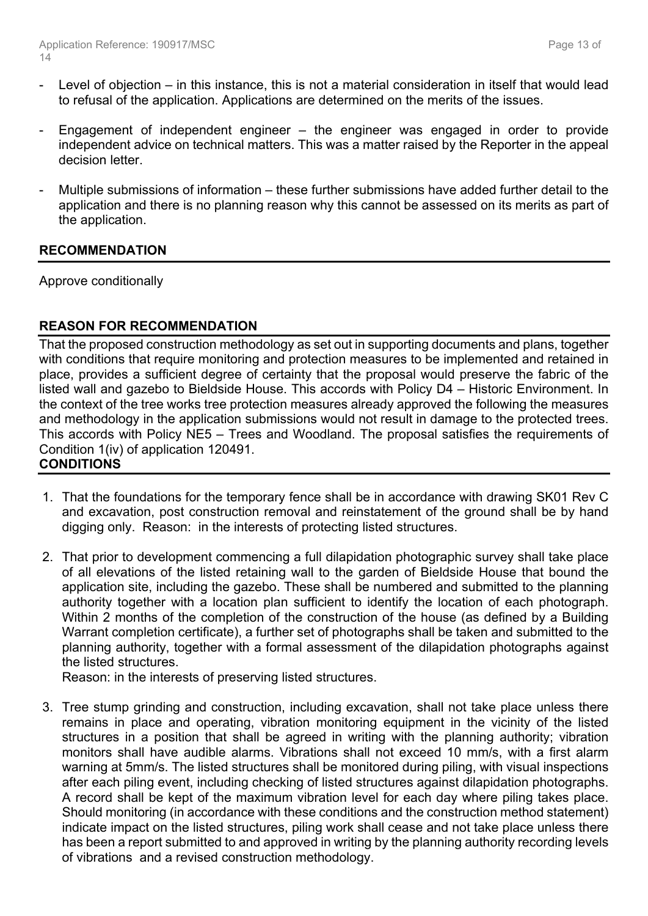- Level of objection in this instance, this is not a material consideration in itself that would lead to refusal of the application. Applications are determined on the merits of the issues.
- Engagement of independent engineer  $-$  the engineer was engaged in order to provide independent advice on technical matters. This was a matter raised by the Reporter in the appeal decision letter.
- Multiple submissions of information these further submissions have added further detail to the application and there is no planning reason why this cannot be assessed on its merits as part of the application.

# **RECOMMENDATION**

Approve conditionally

# **REASON FOR RECOMMENDATION**

That the proposed construction methodology as set out in supporting documents and plans, together with conditions that require monitoring and protection measures to be implemented and retained in place, provides a sufficient degree of certainty that the proposal would preserve the fabric of the listed wall and gazebo to Bieldside House. This accords with Policy D4 – Historic Environment. In the context of the tree works tree protection measures already approved the following the measures and methodology in the application submissions would not result in damage to the protected trees. This accords with Policy NE5 – Trees and Woodland. The proposal satisfies the requirements of Condition 1(iv) of application 120491.

# **CONDITIONS**

- 1. That the foundations for the temporary fence shall be in accordance with drawing SK01 Rev C and excavation, post construction removal and reinstatement of the ground shall be by hand digging only. Reason: in the interests of protecting listed structures.
- 2. That prior to development commencing a full dilapidation photographic survey shall take place of all elevations of the listed retaining wall to the garden of Bieldside House that bound the application site, including the gazebo. These shall be numbered and submitted to the planning authority together with a location plan sufficient to identify the location of each photograph. Within 2 months of the completion of the construction of the house (as defined by a Building Warrant completion certificate), a further set of photographs shall be taken and submitted to the planning authority, together with a formal assessment of the dilapidation photographs against the listed structures.

Reason: in the interests of preserving listed structures.

3. Tree stump grinding and construction, including excavation, shall not take place unless there remains in place and operating, vibration monitoring equipment in the vicinity of the listed structures in a position that shall be agreed in writing with the planning authority; vibration monitors shall have audible alarms. Vibrations shall not exceed 10 mm/s, with a first alarm warning at 5mm/s. The listed structures shall be monitored during piling, with visual inspections after each piling event, including checking of listed structures against dilapidation photographs. A record shall be kept of the maximum vibration level for each day where piling takes place. Should monitoring (in accordance with these conditions and the construction method statement) indicate impact on the listed structures, piling work shall cease and not take place unless there has been a report submitted to and approved in writing by the planning authority recording levels of vibrations and a revised construction methodology.